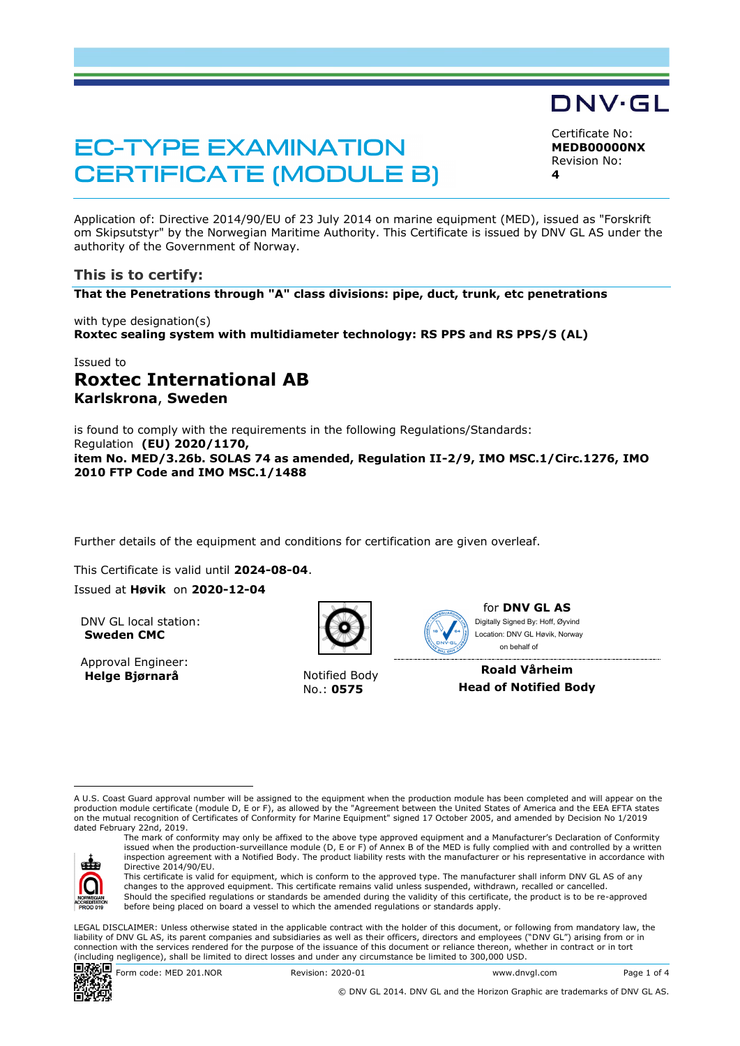# **EC-TYPE EXAMINATION CERTIFICATE (MODULE B)**

Certificate No: **MEDB00000NX** Revision No: **4**

DNV·GL

Application of: Directive 2014/90/EU of 23 July 2014 on marine equipment (MED), issued as "Forskrift om Skipsutstyr" by the Norwegian Maritime Authority. This Certificate is issued by DNV GL AS under the authority of the Government of Norway.

# **This is to certify:**

**That the Penetrations through "A" class divisions: pipe, duct, trunk, etc penetrations**

with type designation(s) **Roxtec sealing system with multidiameter technology: RS PPS and RS PPS/S (AL)**

# Issued to **Roxtec International AB Karlskrona**, **Sweden**

is found to comply with the requirements in the following Regulations/Standards: Regulation **(EU) 2020/1170, item No. MED/3.26b. SOLAS 74 as amended, Regulation II-2/9, IMO MSC.1/Circ.1276, IMO 2010 FTP Code and IMO MSC.1/1488**

Further details of the equipment and conditions for certification are given overleaf.

This Certificate is valid until **2024-08-04**. Issued at **Høvik** on **2020-12-04**

DNV GL local station: **Sweden CMC**

Approval Engineer: **Helge Bjørnarå** Notified Body



No.: **0575**



for **DNV GL AS** Ï Digitally Signed By: Hoff, Øyvind Location: DNV GL Høvik, Norway on behalf of

**Roald Vårheim Head of Notified Body**

A U.S. Coast Guard approval number will be assigned to the equipment when the production module has been completed and will appear on the production module certificate (module D, E or F), as allowed by the "Agreement between the United States of America and the EEA EFTA states on the mutual recognition of Certificates of Conformity for Marine Equipment" signed 17 October 2005, and amended by Decision No 1/2019 dated February 22nd, 2019.



The mark of conformity may only be affixed to the above type approved equipment and a Manufacturer's Declaration of Conformity issued when the production-surveillance module (D, E or F) of Annex B of the MED is fully complied with and controlled by a written inspection agreement with a Notified Body. The product liability rests with the manufacturer or his representative in accordance with Directive 2014/90/EU.

This certificate is valid for equipment, which is conform to the approved type. The manufacturer shall inform DNV GL AS of any changes to the approved equipment. This certificate remains valid unless suspended, withdrawn, recalled or cancelled. Should the specified regulations or standards be amended during the validity of this certificate, the product is to be re-approved before being placed on board a vessel to which the amended regulations or standards apply.

LEGAL DISCLAIMER: Unless otherwise stated in the applicable contract with the holder of this document, or following from mandatory law, the liability of DNV GL AS, its parent companies and subsidiaries as well as their officers, directors and employees ("DNV GL") arising from or in connection with the services rendered for the purpose of the issuance of this document or reliance thereon, whether in contract or in tort (including negligence), shall be limited to direct losses and under any circumstance be limited to 300,000 USD.

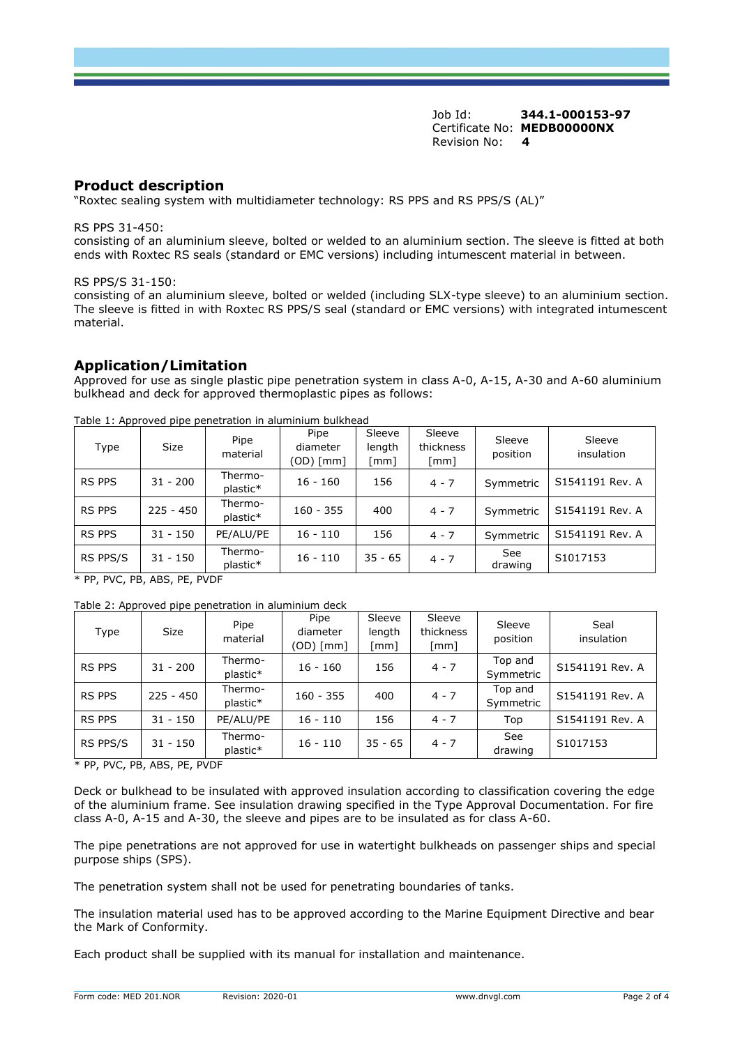Job Id: **344.1-000153-97** Certificate No: **MEDB00000NX** Revision No: **4**

### **Product description**

"Roxtec sealing system with multidiameter technology: RS PPS and RS PPS/S (AL)"

RS PPS 31-450:

consisting of an aluminium sleeve, bolted or welded to an aluminium section. The sleeve is fitted at both ends with Roxtec RS seals (standard or EMC versions) including intumescent material in between.

RS PPS/S 31-150:

consisting of an aluminium sleeve, bolted or welded (including SLX-type sleeve) to an aluminium section. The sleeve is fitted in with Roxtec RS PPS/S seal (standard or EMC versions) with integrated intumescent material.

## **Application/Limitation**

Approved for use as single plastic pipe penetration system in class A-0, A-15, A-30 and A-60 aluminium bulkhead and deck for approved thermoplastic pipes as follows:

| Type          | Size        | Pipe<br>material    | Pipe<br>diameter<br>$(OD)$ [mm] | Sleeve<br>length<br>[mm] | Sleeve<br>thickness<br>[mm] | Sleeve<br>position | Sleeve<br>insulation |
|---------------|-------------|---------------------|---------------------------------|--------------------------|-----------------------------|--------------------|----------------------|
| <b>RS PPS</b> | $31 - 200$  | Thermo-<br>plastic* | $16 - 160$                      | 156                      | $4 - 7$                     | Symmetric          | S1541191 Rev. A      |
| <b>RS PPS</b> | $225 - 450$ | Thermo-<br>plastic* | $160 - 355$                     | 400                      | $4 - 7$                     | Symmetric          | S1541191 Rev. A      |
| <b>RS PPS</b> | $31 - 150$  | PE/ALU/PE           | $16 - 110$                      | 156                      | $4 - 7$                     | Symmetric          | S1541191 Rev. A      |
| RS PPS/S      | $31 - 150$  | Thermo-<br>plastic* | $16 - 110$                      | $35 - 65$                | $4 - 7$                     | See<br>drawing     | S1017153             |

Table 1: Approved pipe penetration in aluminium bulkhead

\* PP, PVC, PB, ABS, PE, PVDF

| Table 2: Approved pipe penetration in aluminium deck |
|------------------------------------------------------|
|------------------------------------------------------|

| Type          | <b>Size</b> | Pipe<br>material    | Pipe<br>diameter<br>(OD) [mm] | Sleeve<br>length<br>[mm] | Sleeve<br>thickness<br>[mm] | Sleeve<br>position   | Seal<br>insulation |
|---------------|-------------|---------------------|-------------------------------|--------------------------|-----------------------------|----------------------|--------------------|
| <b>RS PPS</b> | $31 - 200$  | Thermo-<br>plastic* | $16 - 160$                    | 156                      | $4 - 7$                     | Top and<br>Symmetric | S1541191 Rev. A    |
| <b>RS PPS</b> | $225 - 450$ | Thermo-<br>plastic* | $160 - 355$                   | 400                      | $4 - 7$                     | Top and<br>Symmetric | S1541191 Rev. A    |
| <b>RS PPS</b> | $31 - 150$  | PE/ALU/PE           | $16 - 110$                    | 156                      | $4 - 7$                     | Top                  | S1541191 Rev. A    |
| RS PPS/S      | $31 - 150$  | Thermo-<br>plastic* | $16 - 110$                    | $35 - 65$                | $4 - 7$                     | See<br>drawing       | S1017153           |

\* PP, PVC, PB, ABS, PE, PVDF

Deck or bulkhead to be insulated with approved insulation according to classification covering the edge of the aluminium frame. See insulation drawing specified in the Type Approval Documentation. For fire class A-0, A-15 and A-30, the sleeve and pipes are to be insulated as for class A-60.

The pipe penetrations are not approved for use in watertight bulkheads on passenger ships and special purpose ships (SPS).

The penetration system shall not be used for penetrating boundaries of tanks.

The insulation material used has to be approved according to the Marine Equipment Directive and bear the Mark of Conformity.

Each product shall be supplied with its manual for installation and maintenance.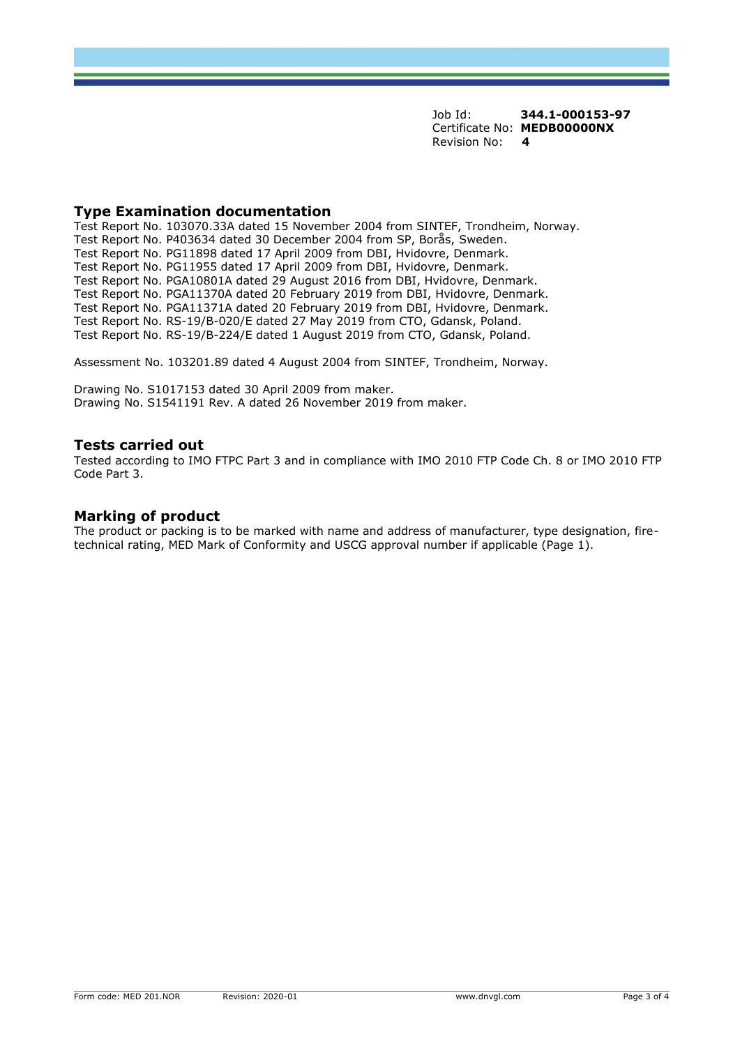Job Id: **344.1-000153-97** Certificate No: **MEDB00000NX** Revision No: **4**

#### **Type Examination documentation**

Test Report No. 103070.33A dated 15 November 2004 from SINTEF, Trondheim, Norway. Test Report No. P403634 dated 30 December 2004 from SP, Borås, Sweden. Test Report No. PG11898 dated 17 April 2009 from DBI, Hvidovre, Denmark. Test Report No. PG11955 dated 17 April 2009 from DBI, Hvidovre, Denmark. Test Report No. PGA10801A dated 29 August 2016 from DBI, Hvidovre, Denmark. Test Report No. PGA11370A dated 20 February 2019 from DBI, Hvidovre, Denmark. Test Report No. PGA11371A dated 20 February 2019 from DBI, Hvidovre, Denmark. Test Report No. RS-19/B-020/E dated 27 May 2019 from CTO, Gdansk, Poland. Test Report No. RS-19/B-224/E dated 1 August 2019 from CTO, Gdansk, Poland.

Assessment No. 103201.89 dated 4 August 2004 from SINTEF, Trondheim, Norway.

Drawing No. S1017153 dated 30 April 2009 from maker. Drawing No. S1541191 Rev. A dated 26 November 2019 from maker.

#### **Tests carried out**

Tested according to IMO FTPC Part 3 and in compliance with IMO 2010 FTP Code Ch. 8 or IMO 2010 FTP Code Part 3.

## **Marking of product**

The product or packing is to be marked with name and address of manufacturer, type designation, firetechnical rating, MED Mark of Conformity and USCG approval number if applicable (Page 1).